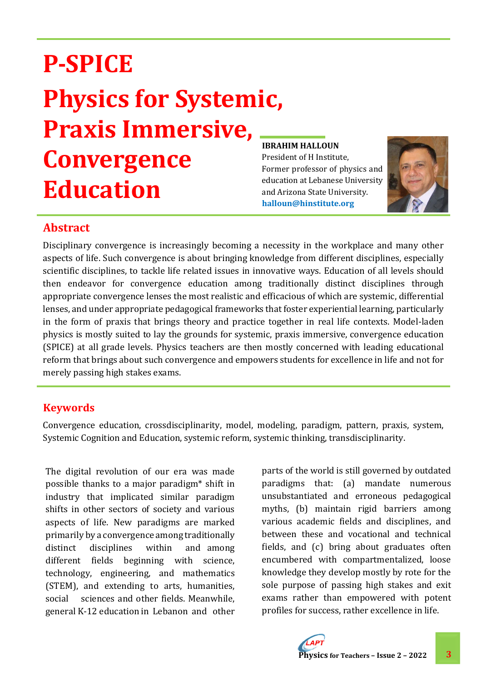# **P-SPICE Physics for Systemic, Praxis Immersive, Convergence Education**

#### **IBRAHIM HALLOUN**

President of H Institute, Former professor of physics and education at Lebanese University and Arizona State University. **halloun@hinstitute.org**



## **Abstract**

Disciplinary convergence is increasingly becoming a necessity in the workplace and many other aspects of life. Such convergence is about bringing knowledge from different disciplines, especially scientific disciplines, to tackle life related issues in innovative ways. Education of all levels should then endeavor for convergence education among traditionally distinct disciplines through appropriate convergence lenses the most realistic and efficacious of which are systemic, differential lenses, and under appropriate pedagogical frameworks that foster experiential learning, particularly in the form of praxis that brings theory and practice together in real life contexts. Model-laden physics is mostly suited to lay the grounds for systemic, praxis immersive, convergence education (SPICE) at all grade levels. Physics teachers are then mostly concerned with leading educational reform that brings about such convergence and empowers students for excellence in life and not for merely passing high stakes exams.

## **Keywords**

Convergence education, crossdisciplinarity, model, modeling, paradigm, pattern, praxis, system, Systemic Cognition and Education, systemic reform, systemic thinking, transdisciplinarity.

The digital revolution of our era was made possible thanks to a major paradigm\* shift in industry that implicated similar paradigm shifts in other sectors of society and various aspects of life. New paradigms are marked primarily by a convergence among traditionally distinct disciplines within and among different fields beginning with science, technology, engineering, and mathematics (STEM), and extending to arts, humanities, social sciences and other fields. Meanwhile, general K-12 education in Lebanon and other

parts of the world is still governed by outdated paradigms that: (a) mandate numerous unsubstantiated and erroneous pedagogical myths, (b) maintain rigid barriers among various academic fields and disciplines, and between these and vocational and technical fields, and (c) bring about graduates often encumbered with compartmentalized, loose knowledge they develop mostly by rote for the sole purpose of passing high stakes and exit exams rather than empowered with potent profiles for success, rather excellence in life.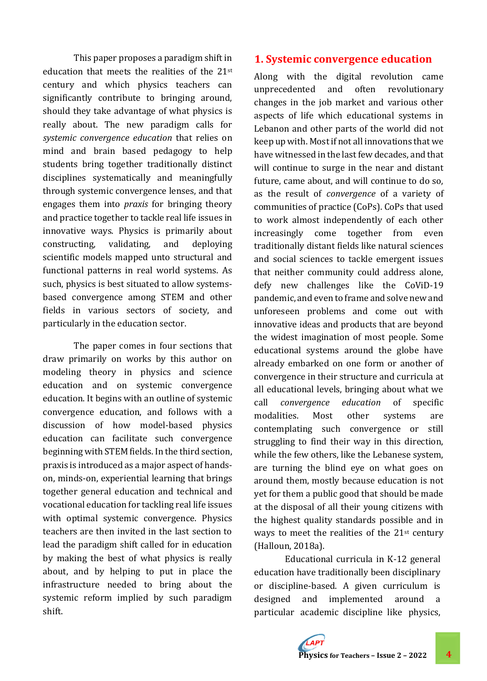This paper proposes a paradigm shift in education that meets the realities of the 21st century and which physics teachers can significantly contribute to bringing around, should they take advantage of what physics is really about. The new paradigm calls for *systemic convergence education* that relies on mind and brain based pedagogy to help students bring together traditionally distinct disciplines systematically and meaningfully through systemic convergence lenses, and that engages them into *praxis* for bringing theory and practice together to tackle real life issues in innovative ways. Physics is primarily about constructing, validating, and deploying scientific models mapped unto structural and functional patterns in real world systems. As such, physics is best situated to allow systemsbased convergence among STEM and other fields in various sectors of society, and particularly in the education sector.

The paper comes in four sections that draw primarily on works by this author on modeling theory in physics and science education and on systemic convergence education. It begins with an outline of systemic convergence education, and follows with a discussion of how model-based physics education can facilitate such convergence beginning with STEM fields. In the third section, praxis is introduced as a major aspect of handson, minds-on, experiential learning that brings together general education and technical and vocational education for tackling real life issues with optimal systemic convergence. Physics teachers are then invited in the last section to lead the paradigm shift called for in education by making the best of what physics is really about, and by helping to put in place the infrastructure needed to bring about the systemic reform implied by such paradigm shift.

#### **1. Systemic convergence education**

Along with the digital revolution came unprecedented and often revolutionary changes in the job market and various other aspects of life which educational systems in Lebanon and other parts of the world did not keep up with. Most if not all innovations that we have witnessed in the last few decades, and that will continue to surge in the near and distant future, came about, and will continue to do so, as the result of *convergence* of a variety of communities of practice (CoPs). CoPs that used to work almost independently of each other increasingly come together from even traditionally distant fields like natural sciences and social sciences to tackle emergent issues that neither community could address alone, defy new challenges like the CoViD-19 pandemic, and even to frame and solve new and unforeseen problems and come out with innovative ideas and products that are beyond the widest imagination of most people. Some educational systems around the globe have already embarked on one form or another of convergence in their structure and curricula at all educational levels, bringing about what we call *convergence education* of specific modalities. Most other systems are contemplating such convergence or still struggling to find their way in this direction, while the few others, like the Lebanese system, are turning the blind eye on what goes on around them, mostly because education is not yet for them a public good that should be made at the disposal of all their young citizens with the highest quality standards possible and in ways to meet the realities of the 21st century (Halloun, 2018a).

Educational curricula in K-12 general education have traditionally been disciplinary or discipline-based. A given curriculum is designed and implemented around a particular academic discipline like physics,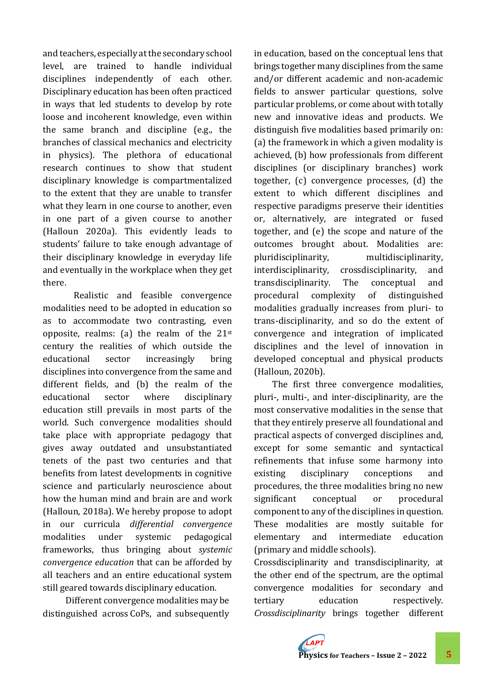and teachers, especially at the secondary school level, are trained to handle individual disciplines independently of each other. Disciplinary education has been often practiced in ways that led students to develop by rote loose and incoherent knowledge, even within the same branch and discipline (e.g., the branches of classical mechanics and electricity in physics). The plethora of educational research continues to show that student disciplinary knowledge is compartmentalized to the extent that they are unable to transfer what they learn in one course to another, even in one part of a given course to another (Halloun 2020a). This evidently leads to students' failure to take enough advantage of their disciplinary knowledge in everyday life and eventually in the workplace when they get there.

Realistic and feasible convergence modalities need to be adopted in education so as to accommodate two contrasting, even opposite, realms: (a) the realm of the  $21^{st}$ century the realities of which outside the educational sector increasingly bring disciplines into convergence from the same and different fields, and (b) the realm of the educational sector where disciplinary education still prevails in most parts of the world. Such convergence modalities should take place with appropriate pedagogy that gives away outdated and unsubstantiated tenets of the past two centuries and that benefits from latest developments in cognitive science and particularly neuroscience about how the human mind and brain are and work (Halloun, 2018a). We hereby propose to adopt in our curricula *differential convergence*  modalities under systemic pedagogical frameworks, thus bringing about *systemic convergence education* that can be afforded by all teachers and an entire educational system still geared towards disciplinary education*.*

 Different convergence modalities may be distinguished across CoPs, and subsequently

in education, based on the conceptual lens that brings together many disciplines from the same and/or different academic and non-academic fields to answer particular questions, solve particular problems, or come about with totally new and innovative ideas and products. We distinguish five modalities based primarily on: (a) the framework in which a given modality is achieved, (b) how professionals from different disciplines (or disciplinary branches) work together, (c) convergence processes, (d) the extent to which different disciplines and respective paradigms preserve their identities or, alternatively, are integrated or fused together, and (e) the scope and nature of the outcomes brought about. Modalities are: pluridisciplinarity, multidisciplinarity, interdisciplinarity, crossdisciplinarity, and transdisciplinarity. The conceptual and procedural complexity of distinguished modalities gradually increases from pluri- to trans-disciplinarity, and so do the extent of convergence and integration of implicated disciplines and the level of innovation in developed conceptual and physical products (Halloun, 2020b).

The first three convergence modalities, pluri-, multi-, and inter-disciplinarity, are the most conservative modalities in the sense that that they entirely preserve all foundational and practical aspects of converged disciplines and, except for some semantic and syntactical refinements that infuse some harmony into existing disciplinary conceptions and procedures, the three modalities bring no new significant conceptual or procedural component to any of the disciplines in question. These modalities are mostly suitable for elementary and intermediate education (primary and middle schools).

Crossdisciplinarity and transdisciplinarity, at the other end of the spectrum, are the optimal convergence modalities for secondary and tertiary education respectively. *Crossdisciplinarity* brings together different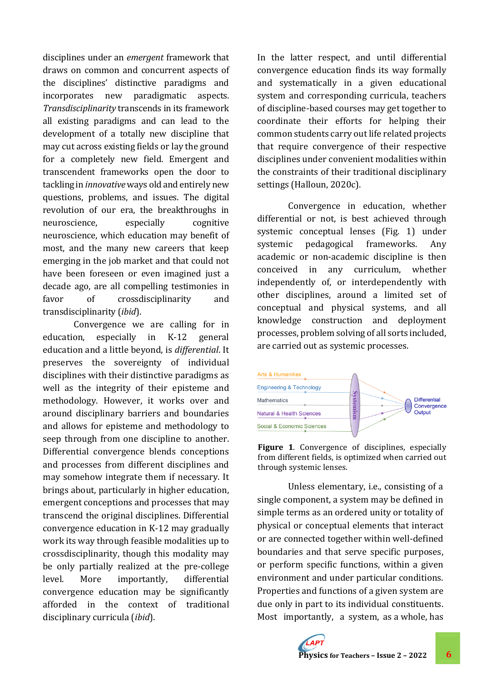disciplines under an *emergent* framework that draws on common and concurrent aspects of the disciplines' distinctive paradigms and incorporates new paradigmatic aspects. *Transdisciplinarity* transcends in its framework all existing paradigms and can lead to the development of a totally new discipline that may cut across existing fields or lay the ground for a completely new field. Emergent and transcendent frameworks open the door to tackling in *innovative* ways old and entirely new questions, problems, and issues. The digital revolution of our era, the breakthroughs in neuroscience, especially cognitive neuroscience, which education may benefit of most, and the many new careers that keep emerging in the job market and that could not have been foreseen or even imagined just a decade ago, are all compelling testimonies in favor of crossdisciplinarity and transdisciplinarity (*ibid*).

Convergence we are calling for in education, especially in K-12 general education and a little beyond, is *differential*. It preserves the sovereignty of individual disciplines with their distinctive paradigms as well as the integrity of their episteme and methodology. However, it works over and around disciplinary barriers and boundaries and allows for episteme and methodology to seep through from one discipline to another. Differential convergence blends conceptions and processes from different disciplines and may somehow integrate them if necessary. It brings about, particularly in higher education, emergent conceptions and processes that may transcend the original disciplines. Differential convergence education in K-12 may gradually work its way through feasible modalities up to crossdisciplinarity, though this modality may be only partially realized at the pre-college level. More importantly, differential convergence education may be significantly afforded in the context of traditional disciplinary curricula (*ibid*).

In the latter respect, and until differential convergence education finds its way formally and systematically in a given educational system and corresponding curricula, teachers of discipline-based courses may get together to coordinate their efforts for helping their common students carry out life related projects that require convergence of their respective disciplines under convenient modalities within the constraints of their traditional disciplinary settings (Halloun, 2020c).

Convergence in education, whether differential or not, is best achieved through systemic conceptual lenses (Fig. 1) under systemic pedagogical frameworks. Any academic or non-academic discipline is then conceived in any curriculum, whether independently of, or interdependently with other disciplines, around a limited set of conceptual and physical systems, and all knowledge construction and deployment processes, problem solving of all sorts included, are carried out as systemic processes.



**Figure 1**. Convergence of disciplines, especially from different fields, is optimized when carried out through systemic lenses.

Unless elementary, i.e., consisting of a single component, a system may be defined in simple terms as an ordered unity or totality of physical or conceptual elements that interact or are connected together within well-defined boundaries and that serve specific purposes, or perform specific functions, within a given environment and under particular conditions. Properties and functions of a given system are due only in part to its individual constituents. Most importantly, a system, as a whole, has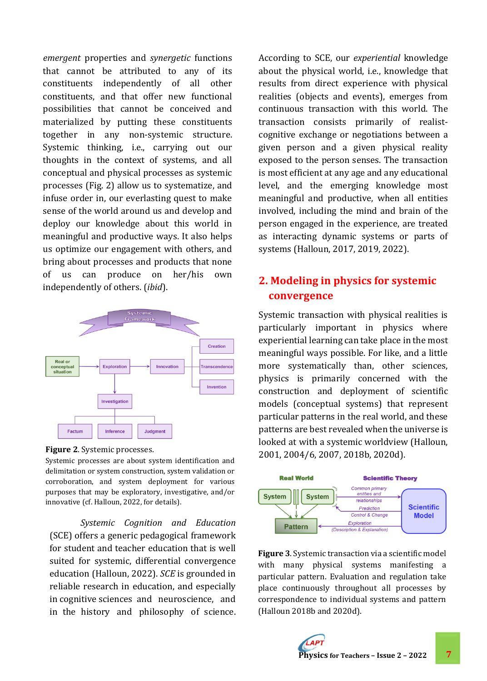*emergent* properties and *synergetic* functions that cannot be attributed to any of its constituents independently of all other constituents, and that offer new functional possibilities that cannot be conceived and materialized by putting these constituents together in any non-systemic structure. Systemic thinking, i.e., carrying out our thoughts in the context of systems, and all conceptual and physical processes as systemic processes (Fig. 2) allow us to systematize, and infuse order in, our everlasting quest to make sense of the world around us and develop and deploy our knowledge about this world in meaningful and productive ways. It also helps us optimize our engagement with others, and bring about processes and products that none of us can produce on her/his own independently of others. (*ibid*).





Systemic processes are about system identification and delimitation or system construction, system validation or corroboration, and system deployment for various purposes that may be exploratory, investigative, and/or innovative (cf. Halloun, 2022, for details).

*Systemic Cognition and Education* (SCE) offers a generic pedagogical framework for student and teacher education that is well suited for systemic, differential convergence education (Halloun, 2022). *SCE* is grounded in reliable research in education, and especially in cognitive sciences and neuroscience, and in the history and philosophy of science.

According to SCE, our *experiential* knowledge about the physical world, i.e., knowledge that results from direct experience with physical realities (objects and events), emerges from continuous transaction with this world. The transaction consists primarily of realistcognitive exchange or negotiations between a given person and a given physical reality exposed to the person senses. The transaction is most efficient at any age and any educational level, and the emerging knowledge most meaningful and productive, when all entities involved, including the mind and brain of the person engaged in the experience, are treated as interacting dynamic systems or parts of systems (Halloun, 2017, 2019, 2022).

# **2. Modeling in physics for systemic convergence**

Systemic transaction with physical realities is particularly important in physics where experiential learning can take place in the most meaningful ways possible. For like, and a little more systematically than, other sciences, physics is primarily concerned with the construction and deployment of scientific models (conceptual systems) that represent particular patterns in the real world, and these patterns are best revealed when the universe is looked at with a systemic worldview (Halloun, 2001, 2004/6, 2007, 2018b, 2020d).



**Figure 3**. Systemic transaction via a scientific model with many physical systems manifesting a particular pattern. Evaluation and regulation take place continuously throughout all processes by correspondence to individual systems and pattern (Halloun 2018b and 2020d).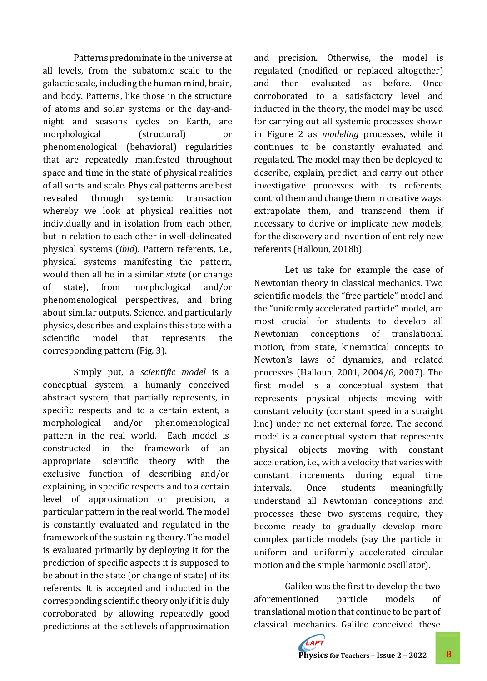Patterns predominate in the universe at all levels, from the subatomic scale to the galactic scale, including the human mind, brain, and body. Patterns, like those in the structure of atoms and solar systems or the day-andnight and seasons cycles on Earth, are morphological (structural) or phenomenological (behavioral) regularities that are repeatedly manifested throughout space and time in the state of physical realities of all sorts and scale. Physical patterns are best revealed through systemic transaction whereby we look at physical realities not individually and in isolation from each other, but in relation to each other in well-delineated physical systems (*ibid*). Pattern referents, i.e., physical systems manifesting the pattern, would then all be in a similar *state* (or change of state), from morphological and/or phenomenological perspectives, and bring about similar outputs. Science, and particularly physics, describes and explains this state with a scientific model that represents the corresponding pattern (Fig. 3).

Simply put, a *scientific model* is a conceptual system, a humanly conceived abstract system, that partially represents, in specific respects and to a certain extent, a morphological and/or phenomenological pattern in the real world. Each model is constructed in the framework of an appropriate scientific theory with the exclusive function of describing and/or explaining, in specific respects and to a certain level of approximation or precision, a particular pattern in the real world. The model is constantly evaluated and regulated in the framework of the sustaining theory. The model is evaluated primarily by deploying it for the prediction of specific aspects it is supposed to be about in the state (or change of state) of its referents. It is accepted and inducted in the corresponding scientific theory only if it is duly corroborated by allowing repeatedly good predictions at the set levels of approximation

and precision. Otherwise, the model is regulated (modified or replaced altogether) and then evaluated as before. Once corroborated to a satisfactory level and inducted in the theory, the model may be used for carrying out all systemic processes shown in Figure 2 as *modeling* processes, while it continues to be constantly evaluated and regulated. The model may then be deployed to describe, explain, predict, and carry out other investigative processes with its referents, control them and change them in creative ways, extrapolate them, and transcend them if necessary to derive or implicate new models, for the discovery and invention of entirely new referents (Halloun, 2018b).

Let us take for example the case of Newtonian theory in classical mechanics. Two scientific models, the "free particle" model and the "uniformly accelerated particle" model, are most crucial for students to develop all Newtonian conceptions of translational motion, from state, kinematical concepts to Newton's laws of dynamics, and related processes (Halloun, 2001, 2004/6, 2007). The first model is a conceptual system that represents physical objects moving with constant velocity (constant speed in a straight line) under no net external force. The second model is a conceptual system that represents physical objects moving with constant acceleration, i.e., with a velocity that varies with constant increments during equal time intervals. Once students meaningfully understand all Newtonian conceptions and processes these two systems require, they become ready to gradually develop more complex particle models (say the particle in uniform and uniformly accelerated circular motion and the simple harmonic oscillator).

Galileo was the first to develop the two aforementioned particle models of translational motion that continue to be part of classical mechanics. Galileo conceived these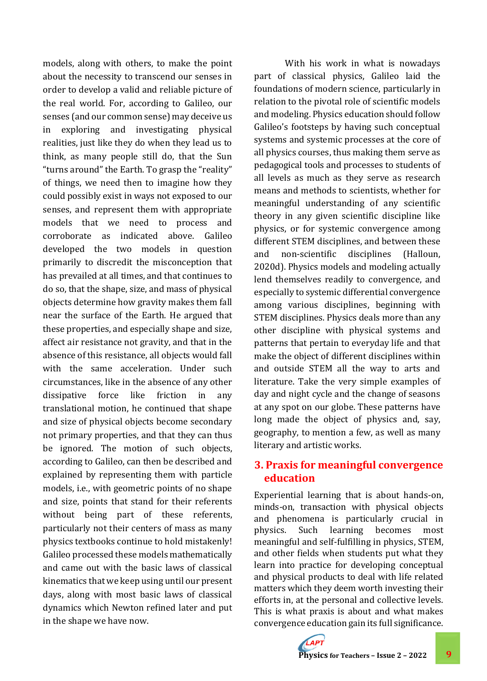models, along with others, to make the point about the necessity to transcend our senses in order to develop a valid and reliable picture of the real world. For, according to Galileo, our senses (and our common sense) may deceive us in exploring and investigating physical realities, just like they do when they lead us to think, as many people still do, that the Sun "turns around" the Earth. To grasp the "reality" of things, we need then to imagine how they could possibly exist in ways not exposed to our senses, and represent them with appropriate models that we need to process and corroborate as indicated above. Galileo developed the two models in question primarily to discredit the misconception that has prevailed at all times, and that continues to do so, that the shape, size, and mass of physical objects determine how gravity makes them fall near the surface of the Earth. He argued that these properties, and especially shape and size, affect air resistance not gravity, and that in the absence of this resistance, all objects would fall with the same acceleration. Under such circumstances, like in the absence of any other dissipative force like friction in any translational motion, he continued that shape and size of physical objects become secondary not primary properties, and that they can thus be ignored. The motion of such objects, according to Galileo, can then be described and explained by representing them with particle models, i.e., with geometric points of no shape and size, points that stand for their referents without being part of these referents, particularly not their centers of mass as many physics textbooks continue to hold mistakenly! Galileo processed these models mathematically and came out with the basic laws of classical kinematics that we keep using until our present days, along with most basic laws of classical dynamics which Newton refined later and put in the shape we have now.

With his work in what is nowadays part of classical physics, Galileo laid the foundations of modern science, particularly in relation to the pivotal role of scientific models and modeling. Physics education should follow Galileo's footsteps by having such conceptual systems and systemic processes at the core of all physics courses, thus making them serve as pedagogical tools and processes to students of all levels as much as they serve as research means and methods to scientists, whether for meaningful understanding of any scientific theory in any given scientific discipline like physics, or for systemic convergence among different STEM disciplines, and between these and non-scientific disciplines (Halloun, 2020d). Physics models and modeling actually lend themselves readily to convergence, and especially to systemic differential convergence among various disciplines, beginning with STEM disciplines. Physics deals more than any other discipline with physical systems and patterns that pertain to everyday life and that make the object of different disciplines within and outside STEM all the way to arts and literature. Take the very simple examples of day and night cycle and the change of seasons at any spot on our globe. These patterns have long made the object of physics and, say, geography, to mention a few, as well as many literary and artistic works.

### **3. Praxis for meaningful convergence education**

Experiential learning that is about hands-on, minds-on, transaction with physical objects and phenomena is particularly crucial in physics. Such learning becomes most meaningful and self-fulfilling in physics, STEM, and other fields when students put what they learn into practice for developing conceptual and physical products to deal with life related matters which they deem worth investing their efforts in, at the personal and collective levels. This is what praxis is about and what makes convergence education gain its full significance.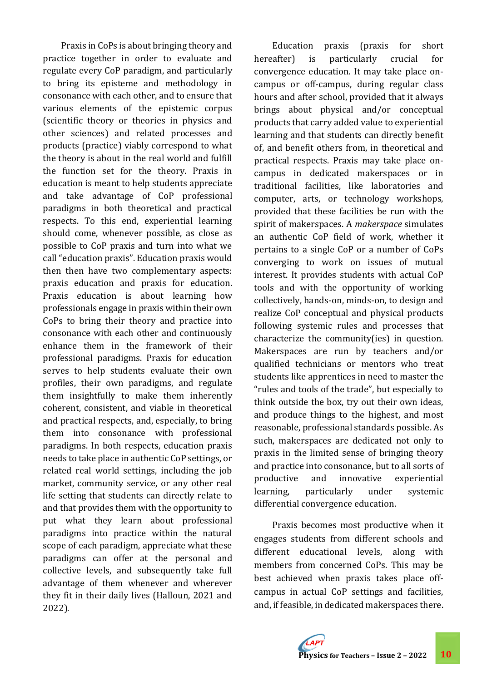Praxis in CoPs is about bringing theory and practice together in order to evaluate and regulate every CoP paradigm, and particularly to bring its episteme and methodology in consonance with each other, and to ensure that various elements of the epistemic corpus (scientific theory or theories in physics and other sciences) and related processes and products (practice) viably correspond to what the theory is about in the real world and fulfill the function set for the theory. Praxis in education is meant to help students appreciate and take advantage of CoP professional paradigms in both theoretical and practical respects. To this end, experiential learning should come, whenever possible, as close as possible to CoP praxis and turn into what we call "education praxis". Education praxis would then then have two complementary aspects: praxis education and praxis for education. Praxis education is about learning how professionals engage in praxis within their own CoPs to bring their theory and practice into consonance with each other and continuously enhance them in the framework of their professional paradigms. Praxis for education serves to help students evaluate their own profiles, their own paradigms, and regulate them insightfully to make them inherently coherent, consistent, and viable in theoretical and practical respects, and, especially, to bring them into consonance with professional paradigms. In both respects, education praxis needs to take place in authentic CoP settings, or related real world settings, including the job market, community service, or any other real life setting that students can directly relate to and that provides them with the opportunity to put what they learn about professional paradigms into practice within the natural scope of each paradigm, appreciate what these paradigms can offer at the personal and collective levels, and subsequently take full advantage of them whenever and wherever they fit in their daily lives (Halloun, 2021 and 2022).

Education praxis (praxis for short hereafter) is particularly crucial for convergence education. It may take place oncampus or off-campus, during regular class hours and after school, provided that it always brings about physical and/or conceptual products that carry added value to experiential learning and that students can directly benefit of, and benefit others from, in theoretical and practical respects. Praxis may take place oncampus in dedicated makerspaces or in traditional facilities, like laboratories and computer, arts, or technology workshops, provided that these facilities be run with the spirit of makerspaces. A *makerspace* simulates an authentic CoP field of work, whether it pertains to a single CoP or a number of CoPs converging to work on issues of mutual interest. It provides students with actual CoP tools and with the opportunity of working collectively, hands-on, minds-on, to design and realize CoP conceptual and physical products following systemic rules and processes that characterize the community(ies) in question. Makerspaces are run by teachers and/or qualified technicians or mentors who treat students like apprentices in need to master the "rules and tools of the trade", but especially to think outside the box, try out their own ideas, and produce things to the highest, and most reasonable, professional standards possible. As such, makerspaces are dedicated not only to praxis in the limited sense of bringing theory and practice into consonance, but to all sorts of productive and innovative experiential learning, particularly under systemic differential convergence education.

Praxis becomes most productive when it engages students from different schools and different educational levels, along with members from concerned CoPs. This may be best achieved when praxis takes place offcampus in actual CoP settings and facilities, and, if feasible, in dedicated makerspaces there.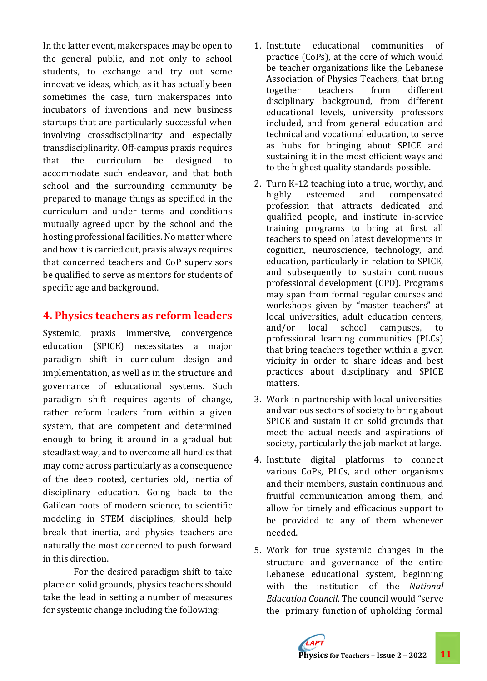In the latter event, makerspaces may be open to the general public, and not only to school students, to exchange and try out some innovative ideas, which, as it has actually been sometimes the case, turn makerspaces into incubators of inventions and new business startups that are particularly successful when involving crossdisciplinarity and especially transdisciplinarity. Off-campus praxis requires that the curriculum be designed to accommodate such endeavor, and that both school and the surrounding community be prepared to manage things as specified in the curriculum and under terms and conditions mutually agreed upon by the school and the hosting professional facilities. No matter where and how it is carried out, praxis always requires that concerned teachers and CoP supervisors be qualified to serve as mentors for students of specific age and background.

## **4. Physics teachers as reform leaders**

Systemic, praxis immersive, convergence education (SPICE) necessitates a major paradigm shift in curriculum design and implementation, as well as in the structure and governance of educational systems. Such paradigm shift requires agents of change, rather reform leaders from within a given system, that are competent and determined enough to bring it around in a gradual but steadfast way, and to overcome all hurdles that may come across particularly as a consequence of the deep rooted, centuries old, inertia of disciplinary education. Going back to the Galilean roots of modern science, to scientific modeling in STEM disciplines, should help break that inertia, and physics teachers are naturally the most concerned to push forward in this direction.

For the desired paradigm shift to take place on solid grounds, physics teachers should take the lead in setting a number of measures for systemic change including the following:

- 1. Institute educational communities of practice (CoPs), at the core of which would be teacher organizations like the Lebanese Association of Physics Teachers, that bring together teachers from different disciplinary background, from different educational levels, university professors included, and from general education and technical and vocational education, to serve as hubs for bringing about SPICE and sustaining it in the most efficient ways and to the highest quality standards possible.
- 2. Turn K-12 teaching into a true, worthy, and highly esteemed and compensated profession that attracts dedicated and qualified people, and institute in-service training programs to bring at first all teachers to speed on latest developments in cognition, neuroscience, technology, and education, particularly in relation to SPICE, and subsequently to sustain continuous professional development (CPD). Programs may span from formal regular courses and workshops given by "master teachers" at local universities, adult education centers, and/or local school campuses, to professional learning communities (PLCs) that bring teachers together within a given vicinity in order to share ideas and best practices about disciplinary and SPICE matters.
- 3. Work in partnership with local universities and various sectors of society to bring about SPICE and sustain it on solid grounds that meet the actual needs and aspirations of society, particularly the job market at large.
- 4. Institute digital platforms to connect various CoPs, PLCs, and other organisms and their members, sustain continuous and fruitful communication among them, and allow for timely and efficacious support to be provided to any of them whenever needed.
- 5. Work for true systemic changes in the structure and governance of the entire Lebanese educational system, beginning with the institution of the *National Education Council*. The council would "serve the primary function of upholding formal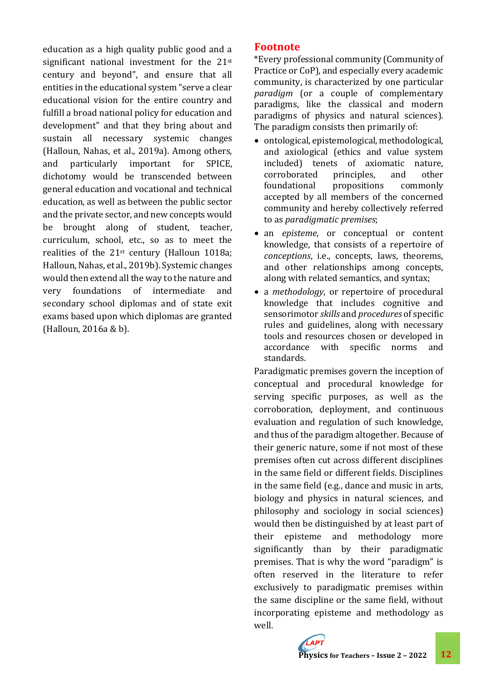education as a high quality public good and a significant national investment for the 21<sup>st</sup> century and beyond", and ensure that all entities in the educational system "serve a clear educational vision for the entire country and fulfill a broad national policy for education and development" and that they bring about and sustain all necessary systemic changes (Halloun, Nahas, et al., 2019a). Among others, and particularly important for SPICE, dichotomy would be transcended between general education and vocational and technical education, as well as between the public sector and the private sector, and new concepts would be brought along of student, teacher, curriculum, school, etc., so as to meet the realities of the 21st century (Halloun 1018a; Halloun, Nahas, et al., 2019b). Systemic changes would then extend all the way to the nature and very foundations of intermediate and secondary school diplomas and of state exit exams based upon which diplomas are granted (Halloun, 2016a & b).

### **Footnote**

\*Every professional community (Community of Practice or CoP), and especially every academic community, is characterized by one particular *paradigm* (or a couple of complementary paradigms, like the classical and modern paradigms of physics and natural sciences). The paradigm consists then primarily of:

- ontological, epistemological, methodological, and axiological (ethics and value system included) tenets of axiomatic nature, corroborated principles, and other foundational propositions commonly accepted by all members of the concerned community and hereby collectively referred to as *paradigmatic premises*;
- an *episteme*, or conceptual or content knowledge, that consists of a repertoire of *conceptions*, i.e., concepts, laws, theorems, and other relationships among concepts, along with related semantics, and syntax;
- a *methodology*, or repertoire of procedural knowledge that includes cognitive and sensorimotor *skills* and *procedures* of specific rules and guidelines, along with necessary tools and resources chosen or developed in accordance with specific norms and standards.

Paradigmatic premises govern the inception of conceptual and procedural knowledge for serving specific purposes, as well as the corroboration, deployment, and continuous evaluation and regulation of such knowledge, and thus of the paradigm altogether. Because of their generic nature, some if not most of these premises often cut across different disciplines in the same field or different fields. Disciplines in the same field (e.g., dance and music in arts, biology and physics in natural sciences, and philosophy and sociology in social sciences) would then be distinguished by at least part of their episteme and methodology more significantly than by their paradigmatic premises. That is why the word "paradigm" is often reserved in the literature to refer exclusively to paradigmatic premises within the same discipline or the same field, without incorporating episteme and methodology as well.